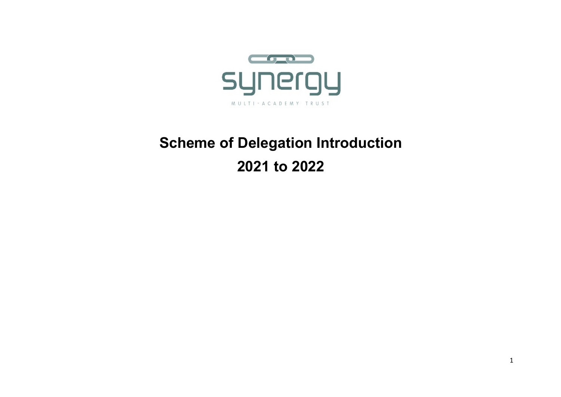

# **Scheme of Delegation Introduction 2021 to 2022**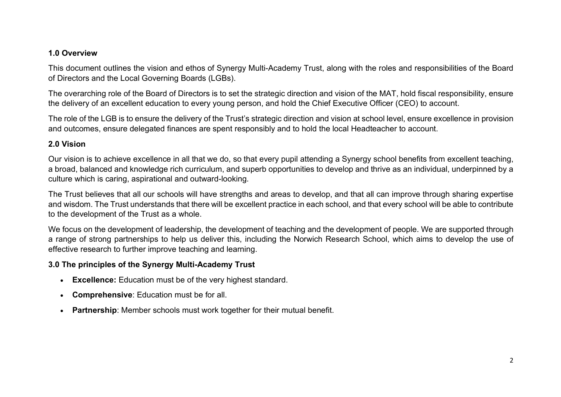### **1.0 Overview**

This document outlines the vision and ethos of Synergy Multi-Academy Trust, along with the roles and responsibilities of the Board of Directors and the Local Governing Boards (LGBs).

The overarching role of the Board of Directors is to set the strategic direction and vision of the MAT, hold fiscal responsibility, ensure the delivery of an excellent education to every young person, and hold the Chief Executive Officer (CEO) to account.

The role of the LGB is to ensure the delivery of the Trust's strategic direction and vision at school level, ensure excellence in provision and outcomes, ensure delegated finances are spent responsibly and to hold the local Headteacher to account.

### **2.0 Vision**

Our vision is to achieve excellence in all that we do, so that every pupil attending a Synergy school benefits from excellent teaching, a broad, balanced and knowledge rich curriculum, and superb opportunities to develop and thrive as an individual, underpinned by a culture which is caring, aspirational and outward-looking.

The Trust believes that all our schools will have strengths and areas to develop, and that all can improve through sharing expertise and wisdom. The Trust understands that there will be excellent practice in each school, and that every school will be able to contribute to the development of the Trust as a whole.

We focus on the development of leadership, the development of teaching and the development of people. We are supported through a range of strong partnerships to help us deliver this, including the Norwich Research School, which aims to develop the use of effective research to further improve teaching and learning.

### **3.0 The principles of the Synergy Multi-Academy Trust**

- **Excellence:** Education must be of the very highest standard.
- **Comprehensive**: Education must be for all.
- **Partnership**: Member schools must work together for their mutual benefit.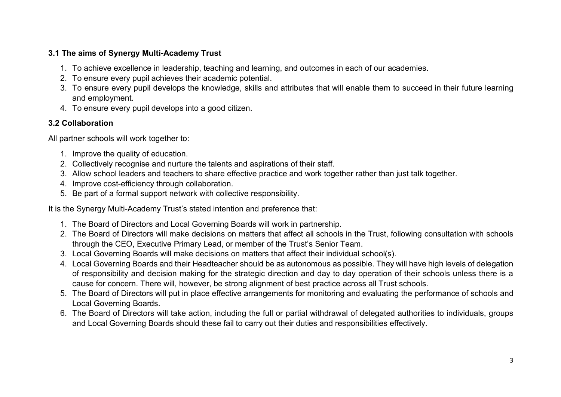# **3.1 The aims of Synergy Multi-Academy Trust**

- 1. To achieve excellence in leadership, teaching and learning, and outcomes in each of our academies.
- 2. To ensure every pupil achieves their academic potential.
- 3. To ensure every pupil develops the knowledge, skills and attributes that will enable them to succeed in their future learning and employment.
- 4. To ensure every pupil develops into a good citizen.

# **3.2 Collaboration**

All partner schools will work together to:

- 1. Improve the quality of education.
- 2. Collectively recognise and nurture the talents and aspirations of their staff.
- 3. Allow school leaders and teachers to share effective practice and work together rather than just talk together.
- 4. Improve cost-efficiency through collaboration.
- 5. Be part of a formal support network with collective responsibility.

It is the Synergy Multi-Academy Trust's stated intention and preference that:

- 1. The Board of Directors and Local Governing Boards will work in partnership.
- 2. The Board of Directors will make decisions on matters that affect all schools in the Trust, following consultation with schools through the CEO, Executive Primary Lead, or member of the Trust's Senior Team.
- 3. Local Governing Boards will make decisions on matters that affect their individual school(s).
- 4. Local Governing Boards and their Headteacher should be as autonomous as possible. They will have high levels of delegation of responsibility and decision making for the strategic direction and day to day operation of their schools unless there is a cause for concern. There will, however, be strong alignment of best practice across all Trust schools.
- 5. The Board of Directors will put in place effective arrangements for monitoring and evaluating the performance of schools and Local Governing Boards.
- 6. The Board of Directors will take action, including the full or partial withdrawal of delegated authorities to individuals, groups and Local Governing Boards should these fail to carry out their duties and responsibilities effectively.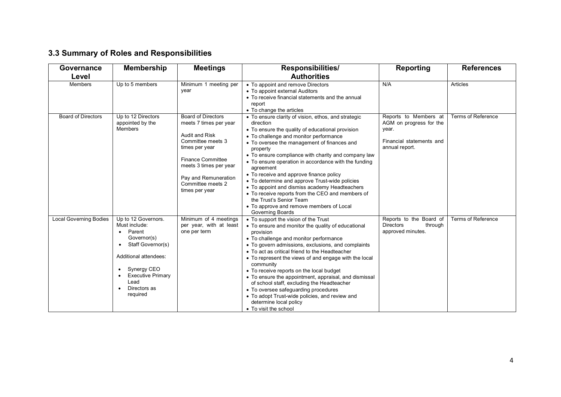# **3.3 Summary of Roles and Responsibilities**

| Governance                    | <b>Membership</b>                                                                                                                                                                                                                                           | <b>Meetings</b>                                                                                                                                                                                                                   | <b>Responsibilities/</b>                                                                                                                                                                                                                                                                                                                                                                                                                                                                                                                                                                                                                           | <b>Reporting</b>                                                                                        | <b>References</b>  |
|-------------------------------|-------------------------------------------------------------------------------------------------------------------------------------------------------------------------------------------------------------------------------------------------------------|-----------------------------------------------------------------------------------------------------------------------------------------------------------------------------------------------------------------------------------|----------------------------------------------------------------------------------------------------------------------------------------------------------------------------------------------------------------------------------------------------------------------------------------------------------------------------------------------------------------------------------------------------------------------------------------------------------------------------------------------------------------------------------------------------------------------------------------------------------------------------------------------------|---------------------------------------------------------------------------------------------------------|--------------------|
| Level                         |                                                                                                                                                                                                                                                             |                                                                                                                                                                                                                                   | <b>Authorities</b>                                                                                                                                                                                                                                                                                                                                                                                                                                                                                                                                                                                                                                 |                                                                                                         |                    |
| Members                       | Up to 5 members                                                                                                                                                                                                                                             | Minimum 1 meeting per<br>year                                                                                                                                                                                                     | • To appoint and remove Directors<br>• To appoint external Auditors<br>• To receive financial statements and the annual<br>report<br>• To change the articles                                                                                                                                                                                                                                                                                                                                                                                                                                                                                      | N/A                                                                                                     | Articles           |
| <b>Board of Directors</b>     | Up to 12 Directors<br>appointed by the<br>Members                                                                                                                                                                                                           | <b>Board of Directors</b><br>meets 7 times per year<br>Audit and Risk<br>Committee meets 3<br>times per year<br><b>Finance Committee</b><br>meets 3 times per year<br>Pay and Remuneration<br>Committee meets 2<br>times per year | • To ensure clarity of vision, ethos, and strategic<br>direction<br>• To ensure the quality of educational provision<br>• To challenge and monitor performance<br>• To oversee the management of finances and<br>property<br>• To ensure compliance with charity and company law<br>• To ensure operation in accordance with the funding<br>agreement<br>• To receive and approve finance policy<br>• To determine and approve Trust-wide policies<br>• To appoint and dismiss academy Headteachers<br>• To receive reports from the CEO and members of<br>the Trust's Senior Team<br>• To approve and remove members of Local<br>Governing Boards | Reports to Members at<br>AGM on progress for the<br>year.<br>Financial statements and<br>annual report. | Terms of Reference |
| <b>Local Governing Bodies</b> | Up to 12 Governors.<br>Must include:<br>Parent<br>$\bullet$<br>Governor(s)<br>Staff Governor(s)<br>$\bullet$<br>Additional attendees:<br>Synergy CEO<br>$\bullet$<br><b>Executive Primary</b><br>$\bullet$<br>Lead<br>Directors as<br>$\bullet$<br>required | Minimum of 4 meetings<br>per year, with at least<br>one per term                                                                                                                                                                  | • To support the vision of the Trust<br>• To ensure and monitor the quality of educational<br>provision<br>• To challenge and monitor performance<br>• To govern admissions, exclusions, and complaints<br>• To act as critical friend to the Headteacher<br>• To represent the views of and engage with the local<br>community<br>• To receive reports on the local budget<br>• To ensure the appointment, appraisal, and dismissal<br>of school staff, excluding the Headteacher<br>• To oversee safeguarding procedures<br>• To adopt Trust-wide policies, and review and<br>determine local policy<br>• To visit the school                    | Reports to the Board of<br><b>Directors</b><br>through<br>approved minutes.                             | Terms of Reference |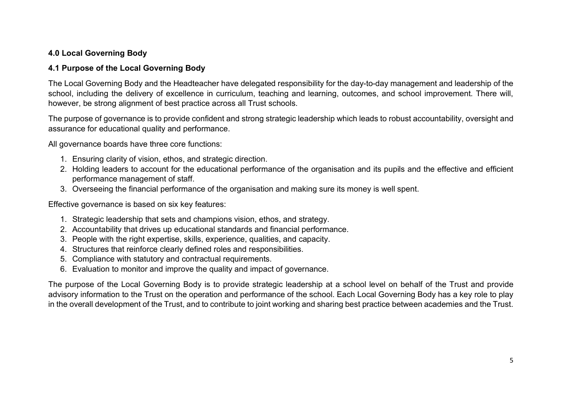# **4.0 Local Governing Body**

### **4.1 Purpose of the Local Governing Body**

The Local Governing Body and the Headteacher have delegated responsibility for the day-to-day management and leadership of the school, including the delivery of excellence in curriculum, teaching and learning, outcomes, and school improvement. There will, however, be strong alignment of best practice across all Trust schools.

The purpose of governance is to provide confident and strong strategic leadership which leads to robust accountability, oversight and assurance for educational quality and performance.

All governance boards have three core functions:

- 1. Ensuring clarity of vision, ethos, and strategic direction.
- 2. Holding leaders to account for the educational performance of the organisation and its pupils and the effective and efficient performance management of staff.
- 3. Overseeing the financial performance of the organisation and making sure its money is well spent.

Effective governance is based on six key features:

- 1. Strategic leadership that sets and champions vision, ethos, and strategy.
- 2. Accountability that drives up educational standards and financial performance.
- 3. People with the right expertise, skills, experience, qualities, and capacity.
- 4. Structures that reinforce clearly defined roles and responsibilities.
- 5. Compliance with statutory and contractual requirements.
- 6. Evaluation to monitor and improve the quality and impact of governance.

The purpose of the Local Governing Body is to provide strategic leadership at a school level on behalf of the Trust and provide advisory information to the Trust on the operation and performance of the school. Each Local Governing Body has a key role to play in the overall development of the Trust, and to contribute to joint working and sharing best practice between academies and the Trust.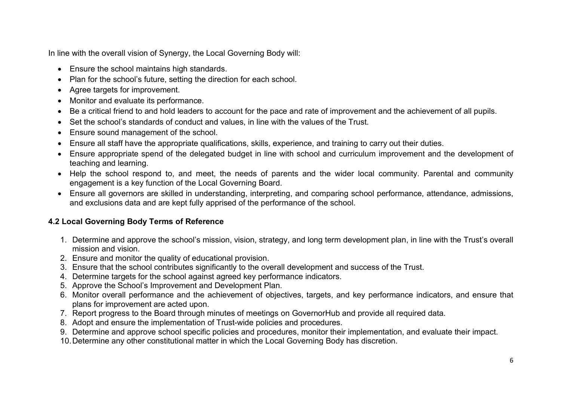In line with the overall vision of Synergy, the Local Governing Body will:

- Ensure the school maintains high standards.
- Plan for the school's future, setting the direction for each school.
- Agree targets for improvement.
- Monitor and evaluate its performance.
- Be a critical friend to and hold leaders to account for the pace and rate of improvement and the achievement of all pupils.
- Set the school's standards of conduct and values, in line with the values of the Trust.
- Ensure sound management of the school.
- Ensure all staff have the appropriate qualifications, skills, experience, and training to carry out their duties.
- Ensure appropriate spend of the delegated budget in line with school and curriculum improvement and the development of teaching and learning.
- Help the school respond to, and meet, the needs of parents and the wider local community. Parental and community engagement is a key function of the Local Governing Board.
- Ensure all governors are skilled in understanding, interpreting, and comparing school performance, attendance, admissions, and exclusions data and are kept fully apprised of the performance of the school.

# **4.2 Local Governing Body Terms of Reference**

- 1. Determine and approve the school's mission, vision, strategy, and long term development plan, in line with the Trust's overall mission and vision.
- 2. Ensure and monitor the quality of educational provision.
- 3. Ensure that the school contributes significantly to the overall development and success of the Trust.
- 4. Determine targets for the school against agreed key performance indicators.
- 5. Approve the School's Improvement and Development Plan.
- 6. Monitor overall performance and the achievement of objectives, targets, and key performance indicators, and ensure that plans for improvement are acted upon.
- 7. Report progress to the Board through minutes of meetings on GovernorHub and provide all required data.
- 8. Adopt and ensure the implementation of Trust-wide policies and procedures.
- 9. Determine and approve school specific policies and procedures, monitor their implementation, and evaluate their impact.
- 10.Determine any other constitutional matter in which the Local Governing Body has discretion.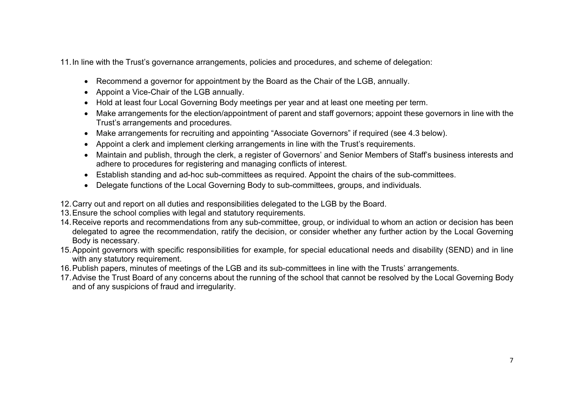11.In line with the Trust's governance arrangements, policies and procedures, and scheme of delegation:

- Recommend a governor for appointment by the Board as the Chair of the LGB, annually.
- Appoint a Vice-Chair of the LGB annually.
- Hold at least four Local Governing Body meetings per year and at least one meeting per term.
- Make arrangements for the election/appointment of parent and staff governors; appoint these governors in line with the Trust's arrangements and procedures.
- Make arrangements for recruiting and appointing "Associate Governors" if required (see 4.3 below).
- Appoint a clerk and implement clerking arrangements in line with the Trust's requirements.
- Maintain and publish, through the clerk, a register of Governors' and Senior Members of Staff's business interests and adhere to procedures for registering and managing conflicts of interest.
- Establish standing and ad-hoc sub-committees as required. Appoint the chairs of the sub-committees.
- Delegate functions of the Local Governing Body to sub-committees, groups, and individuals.
- 12.Carry out and report on all duties and responsibilities delegated to the LGB by the Board.
- 13.Ensure the school complies with legal and statutory requirements.
- 14.Receive reports and recommendations from any sub-committee, group, or individual to whom an action or decision has been delegated to agree the recommendation, ratify the decision, or consider whether any further action by the Local Governing Body is necessary.
- 15.Appoint governors with specific responsibilities for example, for special educational needs and disability (SEND) and in line with any statutory requirement.
- 16.Publish papers, minutes of meetings of the LGB and its sub-committees in line with the Trusts' arrangements.
- 17.Advise the Trust Board of any concerns about the running of the school that cannot be resolved by the Local Governing Body and of any suspicions of fraud and irregularity.